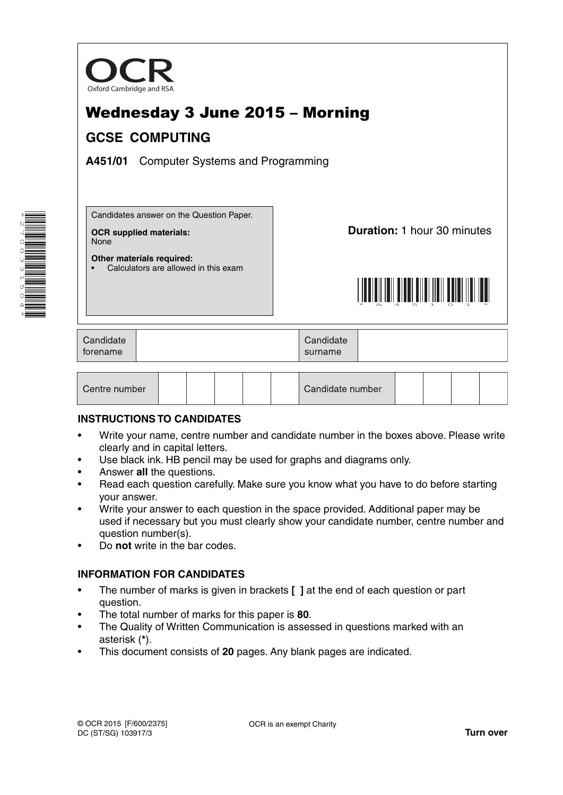

# Wednesday 3 June 2015 – Morning **GCSE COMPUTING**

**A451/01** Computer Systems and Programming



Candidates answer on the Question Paper.

• Calculators are allowed in this exam

**OCR supplied materials:** None

**Other materials required:**

**Duration:** 1 hour 30 minutes



| Candidate<br>torename |  | Candidate<br>surname |  |
|-----------------------|--|----------------------|--|
|-----------------------|--|----------------------|--|

| Centre number |  |  |  |  |  | Candidate number |  |  |  |  |  |
|---------------|--|--|--|--|--|------------------|--|--|--|--|--|
|---------------|--|--|--|--|--|------------------|--|--|--|--|--|

### **INSTRUCTIONS TO CANDIDATES**

- Write your name, centre number and candidate number in the boxes above. Please write clearly and in capital letters.
- Use black ink. HB pencil may be used for graphs and diagrams only.
- Answer **all** the questions.
- Read each question carefully. Make sure you know what you have to do before starting your answer.
- Write your answer to each question in the space provided. Additional paper may be used if necessary but you must clearly show your candidate number, centre number and question number(s).
- Do **not** write in the bar codes.

### **INFORMATION FOR CANDIDATES**

- The number of marks is given in brackets **[ ]** at the end of each question or part question.
- The total number of marks for this paper is **80**.
- The Quality of Written Communication is assessed in questions marked with an asterisk (**\***).
- This document consists of **20** pages. Any blank pages are indicated.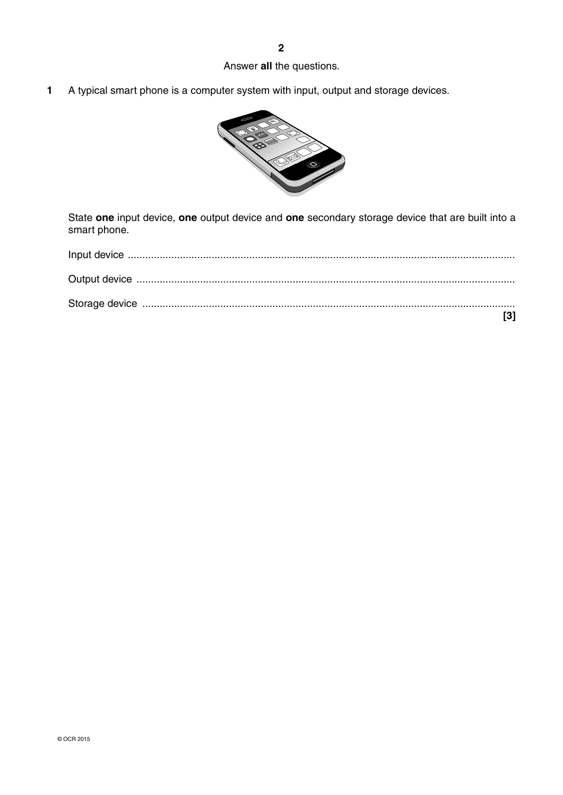# Answer **all** the questions.

**1** A typical smart phone is a computer system with input, output and storage devices.



State **one** input device, **one** output device and **one** secondary storage device that are built into a smart phone.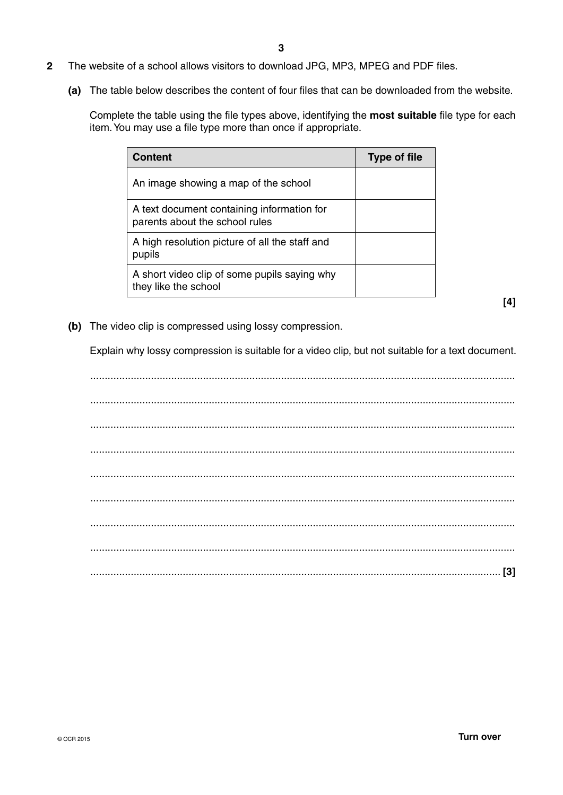- **2** The website of a school allows visitors to download JPG, MP3, MPEG and PDF files.
	- **(a)** The table below describes the content of four files that can be downloaded from the website.

Complete the table using the file types above, identifying the **most suitable** file type for each item. You may use a file type more than once if appropriate.

| Content                                                                      | <b>Type of file</b> |
|------------------------------------------------------------------------------|---------------------|
| An image showing a map of the school                                         |                     |
| A text document containing information for<br>parents about the school rules |                     |
| A high resolution picture of all the staff and<br>pupils                     |                     |
| A short video clip of some pupils saying why<br>they like the school         |                     |

**[4]**

 **(b)** The video clip is compressed using lossy compression.

Explain why lossy compression is suitable for a video clip, but not suitable for a text document.

 ................................................................................................................................................... ................................................................................................................................................... ................................................................................................................................................... ................................................................................................................................................... ................................................................................................................................................... ................................................................................................................................................... ................................................................................................................................................... ................................................................................................................................................... .............................................................................................................................................. **[3]**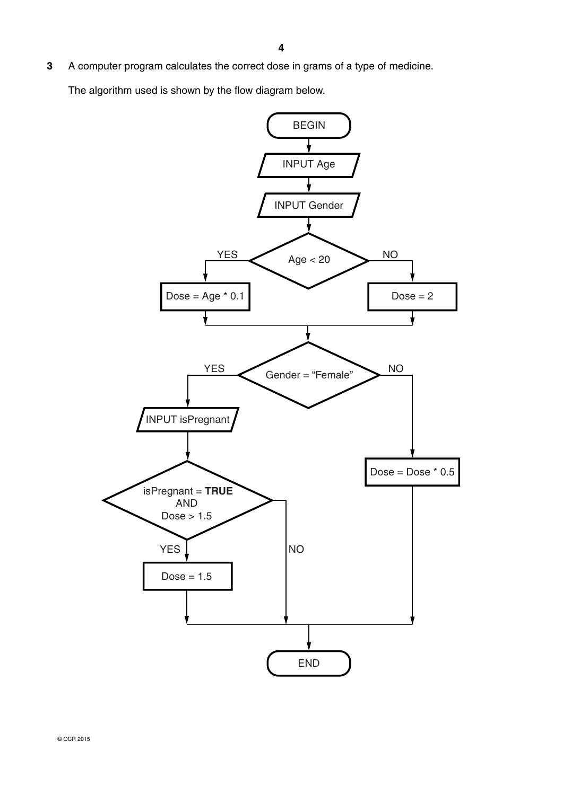**3** A computer program calculates the correct dose in grams of a type of medicine.

The algorithm used is shown by the flow diagram below.

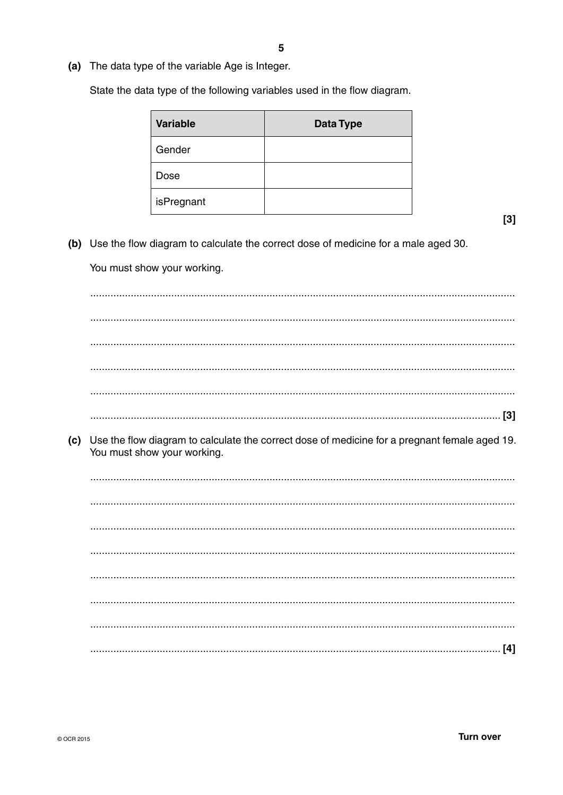(a) The data type of the variable Age is Integer.

State the data type of the following variables used in the flow diagram.

| <b>Variable</b> | <b>Data Type</b> |
|-----------------|------------------|
| Gender          |                  |
| Dose            |                  |
| isPregnant      |                  |

 $[3]$ 

(b) Use the flow diagram to calculate the correct dose of medicine for a male aged 30.

You must show your working.

(c) Use the flow diagram to calculate the correct dose of medicine for a pregnant female aged 19. You must show your working.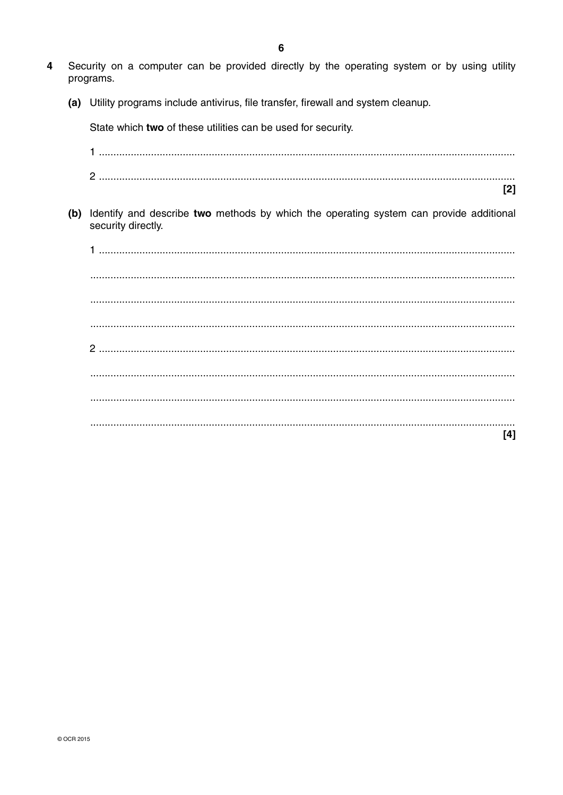- Security on a computer can be provided directly by the operating system or by using utility  $\Delta$ programs.
	- (a) Utility programs include antivirus, file transfer, firewall and system cleanup.

State which two of these utilities can be used for security.  $\mathsf{[}2\mathsf{]}$ (b) Identify and describe two methods by which the operating system can provide additional security directly.  $[4]$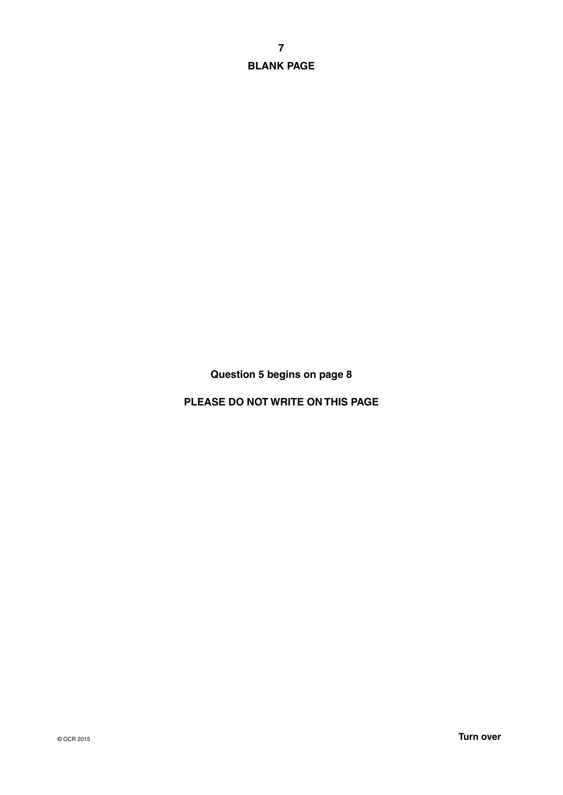**7 BLANK PAGE**

**Question 5 begins on page 8**

**PLEASE DO NOT WRITE ON THIS PAGE**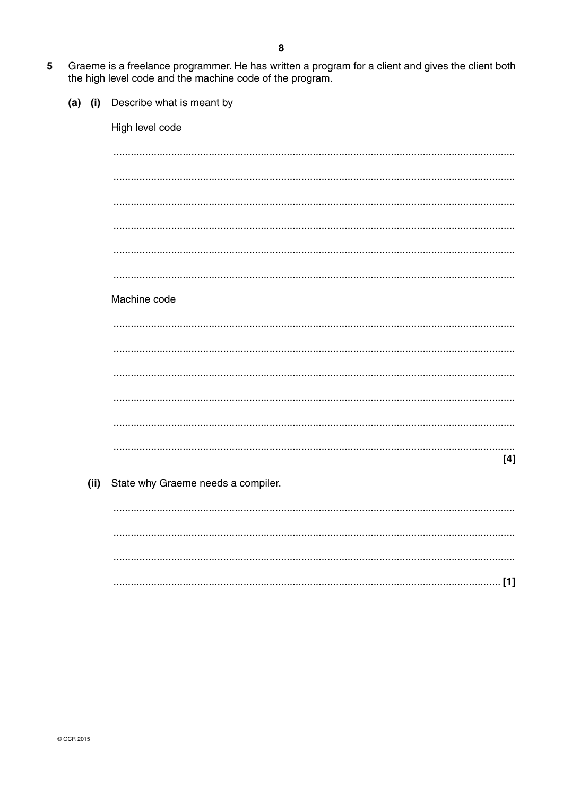- Graeme is a freelance programmer. He has written a program for a client and gives the client both 5 the high level code and the machine code of the program.
	- $(a)$  (i) Describe what is meant by

High level code

Machine code  $[4]$ State why Graeme needs a compiler.  $(ii)$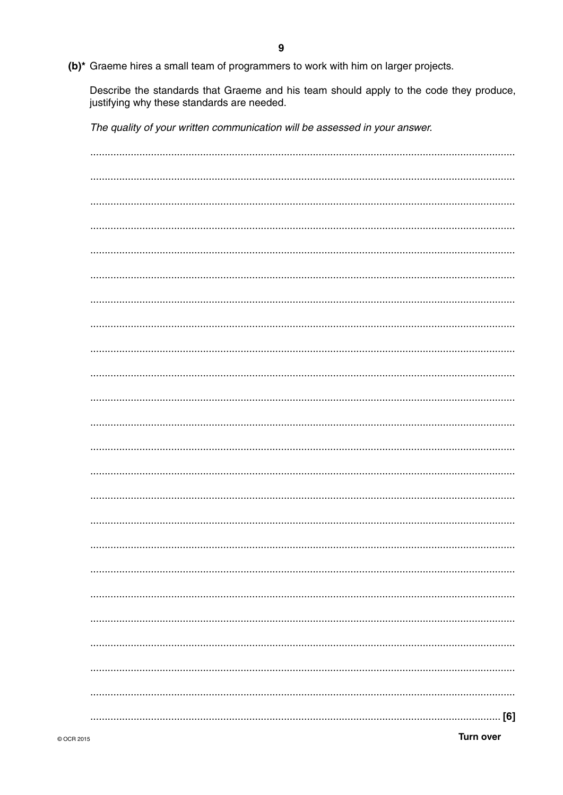(b)\* Graeme hires a small team of programmers to work with him on larger projects.

Describe the standards that Graeme and his team should apply to the code they produce, justifying why these standards are needed.

The quality of your written communication will be assessed in your answer.

| [6] |
|-----|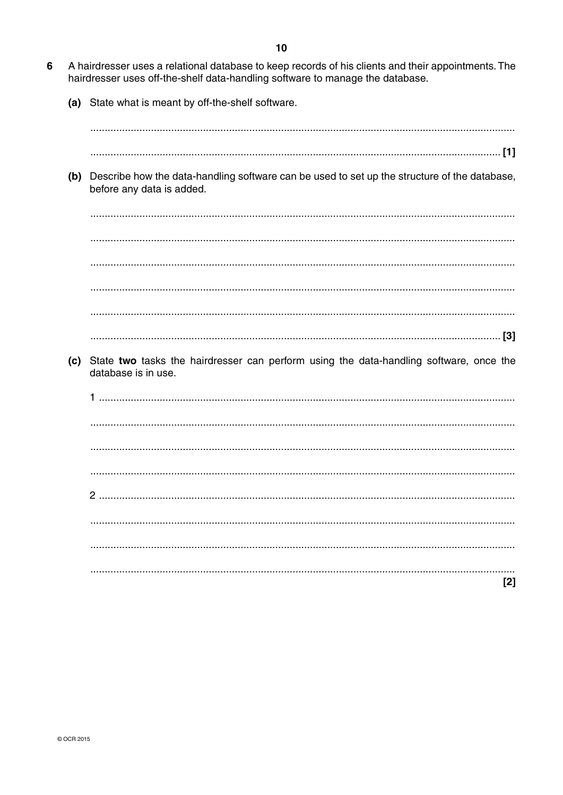- 6 A hairdresser uses a relational database to keep records of his clients and their appointments. The hairdresser uses off-the-shelf data-handling software to manage the database.
	- (a) State what is meant by off-the-shelf software.

(b) Describe how the data-handling software can be used to set up the structure of the database, before any data is added.

(c) State two tasks the hairdresser can perform using the data-handling software, once the database is in use.

 $[2]$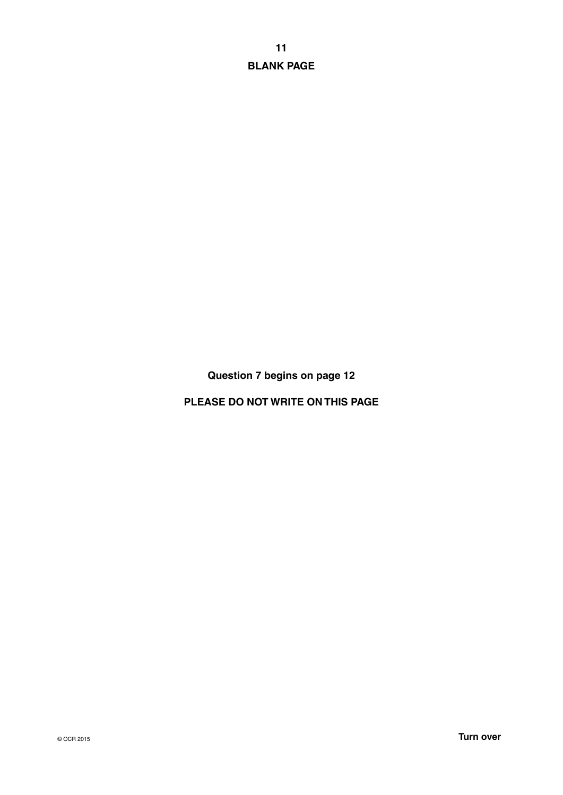**11 BLANK PAGE**

**Question 7 begins on page 12**

**PLEASE DO NOT WRITE ON THIS PAGE**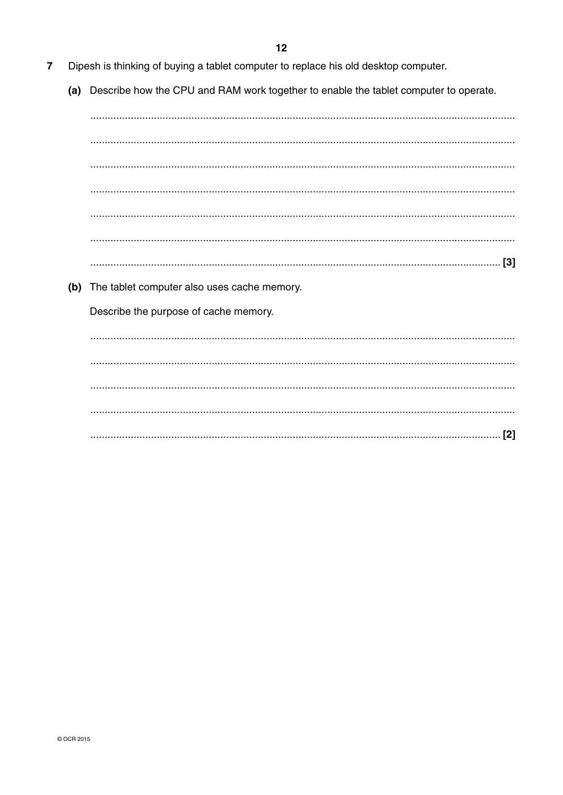- Dipesh is thinking of buying a tablet computer to replace his old desktop computer.  $\overline{7}$ 
	- (a) Describe how the CPU and RAM work together to enable the tablet computer to operate.

(b) The tablet computer also uses cache memory. Describe the purpose of cache memory.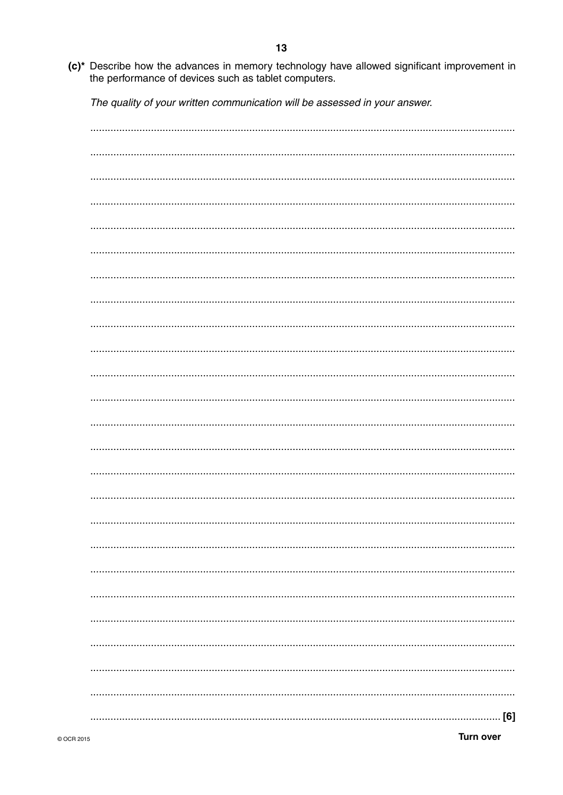- $13$
- (c)\* Describe how the advances in memory technology have allowed significant improvement in the performance of devices such as tablet computers.

The quality of your written communication will be assessed in your answer.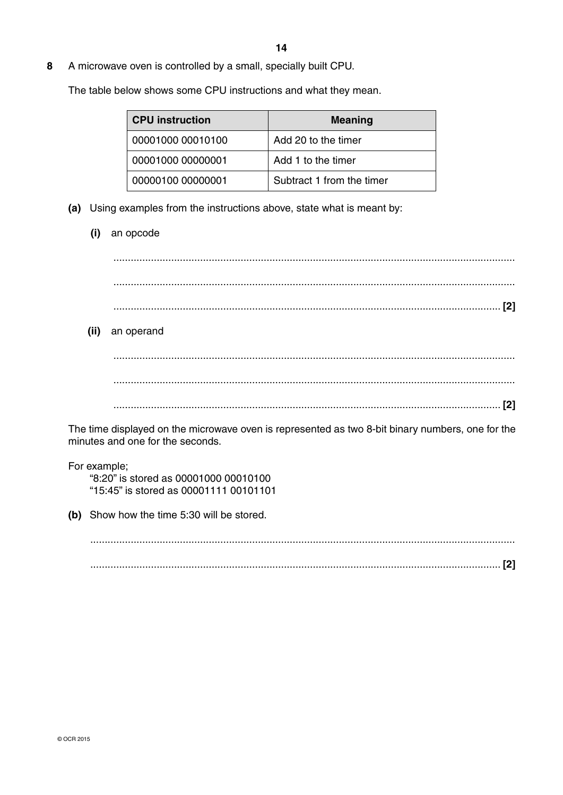**8** A microwave oven is controlled by a small, specially built CPU.

The table below shows some CPU instructions and what they mean.

| <b>CPU</b> instruction | <b>Meaning</b>            |
|------------------------|---------------------------|
| 00001000 00010100      | Add 20 to the timer       |
| 00001000 00000001      | Add 1 to the timer        |
| 00000100 00000001      | Subtract 1 from the timer |

- **(a)** Using examples from the instructions above, state what is meant by:
	- **(i)** an opcode

 ........................................................................................................................................... ........................................................................................................................................... ...................................................................................................................................... **[2] (ii)** an operand ........................................................................................................................................... ........................................................................................................................................... ...................................................................................................................................... **[2]**

The time displayed on the microwave oven is represented as two 8-bit binary numbers, one for the minutes and one for the seconds.

 For example; "8:20" is stored as 00001000 00010100 "15:45" is stored as 00001111 00101101

 **(b)** Show how the time 5:30 will be stored.

 ................................................................................................................................................... .............................................................................................................................................. **[2]**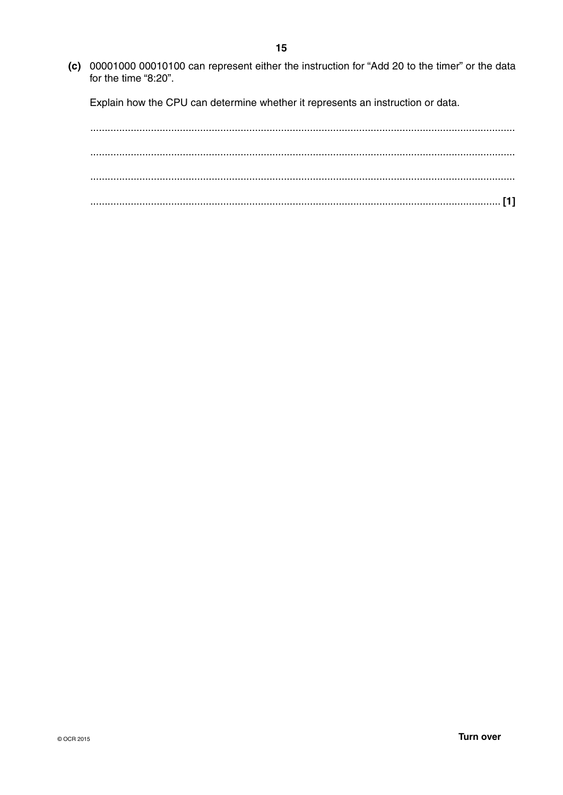(c) 00001000 00010100 can represent either the instruction for "Add 20 to the timer" or the data for the time "8:20".

Explain how the CPU can determine whether it represents an instruction or data.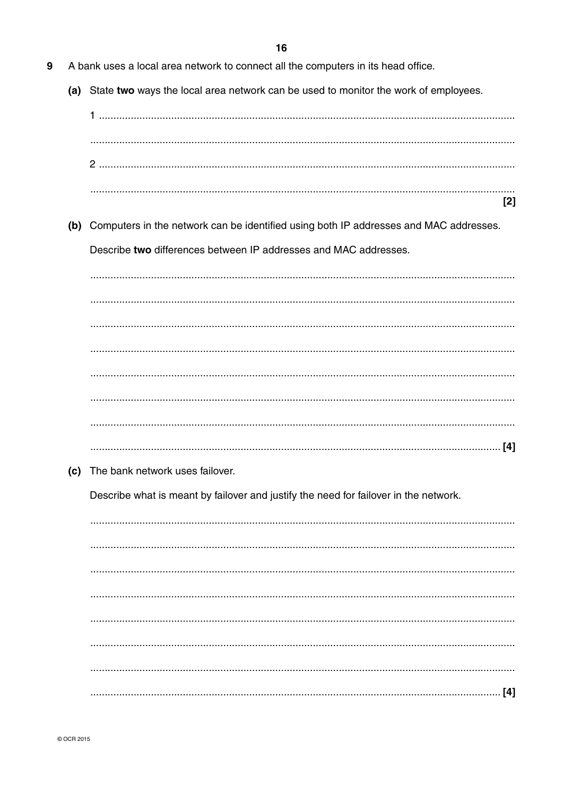- 9 A bank uses a local area network to connect all the computers in its head office.
	- (a) State two ways the local area network can be used to monitor the work of employees.
		- $[2]$
	- (b) Computers in the network can be identified using both IP addresses and MAC addresses. Describe two differences between IP addresses and MAC addresses.

(c) The bank network uses failover.

Describe what is meant by failover and justify the need for failover in the network.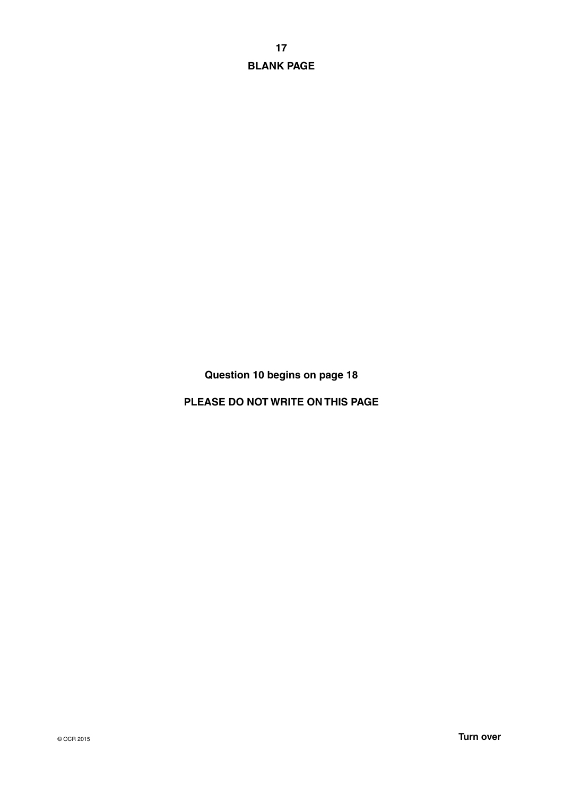**17 BLANK PAGE**

**Question 10 begins on page 18**

**PLEASE DO NOT WRITE ON THIS PAGE**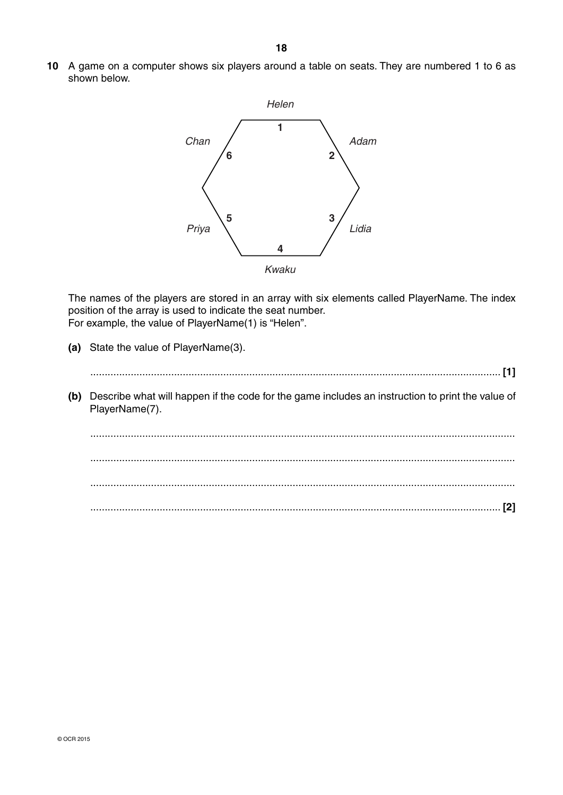**10** A game on a computer shows six players around a table on seats. They are numbered 1 to 6 as shown below.



The names of the players are stored in an array with six elements called PlayerName. The index position of the array is used to indicate the seat number. For example, the value of PlayerName(1) is "Helen".

- **(a)** State the value of PlayerName(3).
- .............................................................................................................................................. **[1] (b)** Describe what will happen if the code for the game includes an instruction to print the value of PlayerName(7). ................................................................................................................................................... ...................................................................................................................................................
	- .............................................................................................................................................. **[2]**

...................................................................................................................................................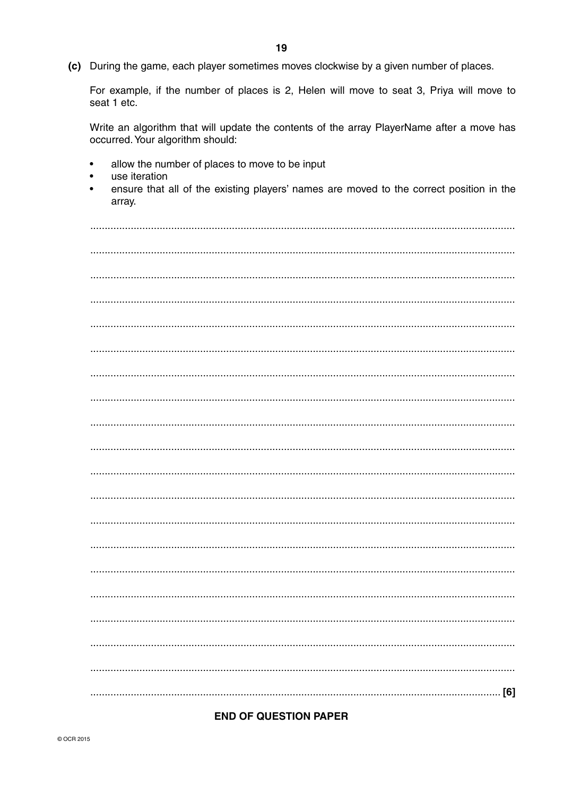| u 1 u y 1 |
|-----------|
|           |
|           |
|           |
|           |
|           |
|           |
|           |
|           |
|           |
|           |
|           |
|           |
|           |
|           |
|           |
|           |
|           |
|           |
|           |
| [6]       |

occurred. Your algorithm should: allow the number of places to move to be input  $\bullet$ 

Write an algorithm that will update the contents of the array PlayerName after a move has

 $\bullet$ use iteration

seat 1 etc.

ensure that all of the existing players' names are moved to the correct position in the  $\bullet$ array.

For example, if the number of places is 2, Helen will move to seat 3, Priya will move to